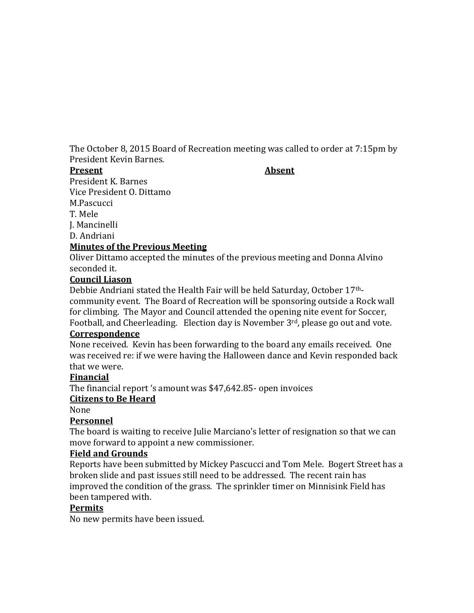The October 8, 2015 Board of Recreation meeting was called to order at 7:15pm by President Kevin Barnes.

#### **Present Absent**

President K. Barnes Vice President O. Dittamo M.Pascucci T. Mele

J. Mancinelli

D. Andriani

#### **Minutes of the Previous Meeting**

Oliver Dittamo accepted the minutes of the previous meeting and Donna Alvino seconded it.

#### **Council Liason**

Debbie Andriani stated the Health Fair will be held Saturday, October 17thcommunity event. The Board of Recreation will be sponsoring outside a Rock wall for climbing. The Mayor and Council attended the opening nite event for Soccer, Football, and Cheerleading. Election day is November 3rd, please go out and vote. **Correspondence**

## None received. Kevin has been forwarding to the board any emails received. One was received re: if we were having the Halloween dance and Kevin responded back that we were.

#### **Financial**

The financial report 's amount was \$47,642.85- open invoices

## **Citizens to Be Heard**

None

## **Personnel**

The board is waiting to receive Julie Marciano's letter of resignation so that we can move forward to appoint a new commissioner.

#### **Field and Grounds**

Reports have been submitted by Mickey Pascucci and Tom Mele. Bogert Street has a broken slide and past issues still need to be addressed. The recent rain has improved the condition of the grass. The sprinkler timer on Minnisink Field has been tampered with.

#### **Permits**

No new permits have been issued.